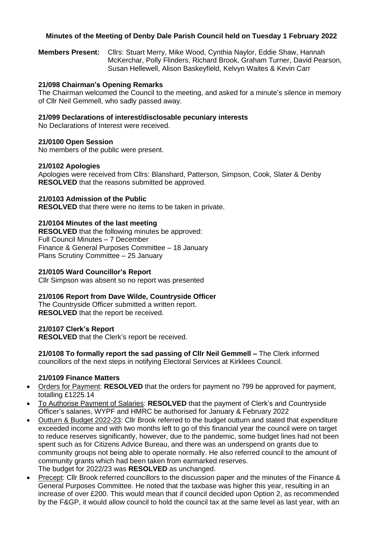# **Minutes of the Meeting of Denby Dale Parish Council held on Tuesday 1 February 2022**

**Members Present:** Cllrs: Stuart Merry, Mike Wood, Cynthia Naylor, Eddie Shaw, Hannah McKerchar, Polly Flinders, Richard Brook, Graham Turner, David Pearson, Susan Hellewell, Alison Baskeyfield, Kelvyn Waites & Kevin Carr

## **21/098 Chairman's Opening Remarks**

The Chairman welcomed the Council to the meeting, and asked for a minute's silence in memory of Cllr Neil Gemmell, who sadly passed away.

### **21/099 Declarations of interest/disclosable pecuniary interests**

No Declarations of Interest were received.

## **21/0100 Open Session**

No members of the public were present.

## **21/0102 Apologies**

Apologies were received from Cllrs: Blanshard, Patterson, Simpson, Cook, Slater & Denby **RESOLVED** that the reasons submitted be approved.

## **21/0103 Admission of the Public**

**RESOLVED** that there were no items to be taken in private.

## **21/0104 Minutes of the last meeting**

**RESOLVED** that the following minutes be approved: Full Council Minutes – 7 December Finance & General Purposes Committee – 18 January Plans Scrutiny Committee – 25 January

#### **21/0105 Ward Councillor's Report**

Cllr Simpson was absent so no report was presented

#### **21/0106 Report from Dave Wilde, Countryside Officer**

The Countryside Officer submitted a written report. **RESOLVED** that the report be received.

#### **21/0107 Clerk's Report**

**RESOLVED** that the Clerk's report be received.

**21/0108 To formally report the sad passing of Cllr Neil Gemmell –** The Clerk informed councillors of the next steps in notifying Electoral Services at Kirklees Council.

#### **21/0109 Finance Matters**

- Orders for Payment: **RESOLVED** that the orders for payment no 799 be approved for payment, totalling £1225.14
- To Authorise Payment of Salaries: **RESOLVED** that the payment of Clerk's and Countryside Officer's salaries, WYPF and HMRC be authorised for January & February 2022
- Outturn & Budget 2022-23: Cllr Brook referred to the budget outturn and stated that expenditure exceeded income and with two months left to go of this financial year the council were on target to reduce reserves significantly, however, due to the pandemic, some budget lines had not been spent such as for Citizens Advice Bureau, and there was an underspend on grants due to community groups not being able to operate normally. He also referred council to the amount of community grants which had been taken from earmarked reserves. The budget for 2022/23 was **RESOLVED** as unchanged.
- Precept: Cllr Brook referred councillors to the discussion paper and the minutes of the Finance & General Purposes Committee. He noted that the taxbase was higher this year, resulting in an increase of over £200. This would mean that if council decided upon Option 2, as recommended by the F&GP, it would allow council to hold the council tax at the same level as last year, with an